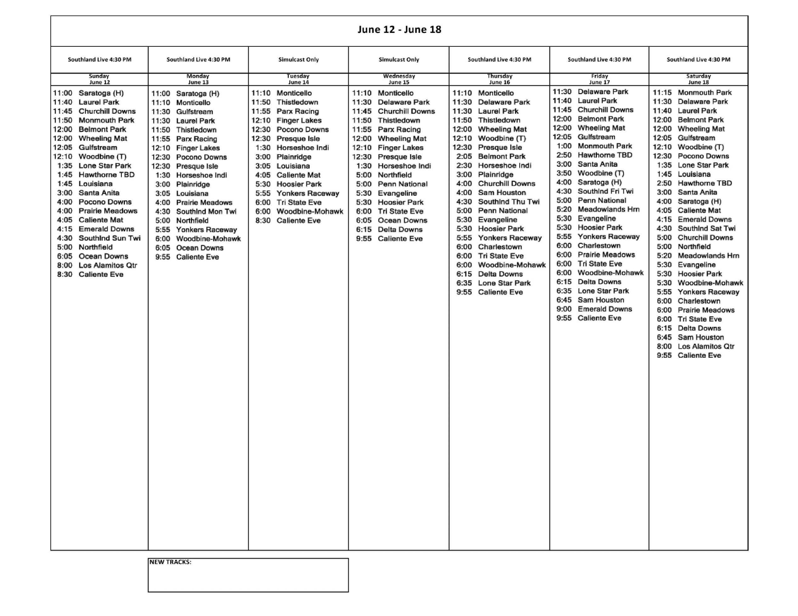## **June 12 - June 18**

|                                                                                                                                                                                                                                                                                                                                                                                                                                                                                                                                                                                                                                  |                                                                                                                                                                                                                                                                                                                                                                                                                                                                                                                |                                                                                                                                                                                                                                                                                                                                                                                                                             | <b>June 12 - June 18</b>                                                                                                                                                                                                                                                                                                                                                                                                                                                                  |                                                                                                                                                                                                                                                                                                                                                                                                                                                                                                                                                                                                                                                         |                                                                                                                                                                                                                                                                                                                                                                                                                                                                                                                                                                                                                                                                                                                                                                                             |                                                                                                                                                                                                                                                                                                                                                                                                                                                                                                                                                                                                                                                                                                                                                                                                                                                                   |
|----------------------------------------------------------------------------------------------------------------------------------------------------------------------------------------------------------------------------------------------------------------------------------------------------------------------------------------------------------------------------------------------------------------------------------------------------------------------------------------------------------------------------------------------------------------------------------------------------------------------------------|----------------------------------------------------------------------------------------------------------------------------------------------------------------------------------------------------------------------------------------------------------------------------------------------------------------------------------------------------------------------------------------------------------------------------------------------------------------------------------------------------------------|-----------------------------------------------------------------------------------------------------------------------------------------------------------------------------------------------------------------------------------------------------------------------------------------------------------------------------------------------------------------------------------------------------------------------------|-------------------------------------------------------------------------------------------------------------------------------------------------------------------------------------------------------------------------------------------------------------------------------------------------------------------------------------------------------------------------------------------------------------------------------------------------------------------------------------------|---------------------------------------------------------------------------------------------------------------------------------------------------------------------------------------------------------------------------------------------------------------------------------------------------------------------------------------------------------------------------------------------------------------------------------------------------------------------------------------------------------------------------------------------------------------------------------------------------------------------------------------------------------|---------------------------------------------------------------------------------------------------------------------------------------------------------------------------------------------------------------------------------------------------------------------------------------------------------------------------------------------------------------------------------------------------------------------------------------------------------------------------------------------------------------------------------------------------------------------------------------------------------------------------------------------------------------------------------------------------------------------------------------------------------------------------------------------|-------------------------------------------------------------------------------------------------------------------------------------------------------------------------------------------------------------------------------------------------------------------------------------------------------------------------------------------------------------------------------------------------------------------------------------------------------------------------------------------------------------------------------------------------------------------------------------------------------------------------------------------------------------------------------------------------------------------------------------------------------------------------------------------------------------------------------------------------------------------|
| Southland Live 4:30 PM                                                                                                                                                                                                                                                                                                                                                                                                                                                                                                                                                                                                           | Southland Live 4:30 PM                                                                                                                                                                                                                                                                                                                                                                                                                                                                                         | <b>Simulcast Only</b>                                                                                                                                                                                                                                                                                                                                                                                                       | <b>Simulcast Only</b>                                                                                                                                                                                                                                                                                                                                                                                                                                                                     | Southland Live 4:30 PM                                                                                                                                                                                                                                                                                                                                                                                                                                                                                                                                                                                                                                  | Southland Live 4:30 PM                                                                                                                                                                                                                                                                                                                                                                                                                                                                                                                                                                                                                                                                                                                                                                      | Southland Live 4:30 PM                                                                                                                                                                                                                                                                                                                                                                                                                                                                                                                                                                                                                                                                                                                                                                                                                                            |
| Sunday<br>June 12                                                                                                                                                                                                                                                                                                                                                                                                                                                                                                                                                                                                                | Monday<br>June 13                                                                                                                                                                                                                                                                                                                                                                                                                                                                                              | Tuesday<br>June 14                                                                                                                                                                                                                                                                                                                                                                                                          | Wednesday<br>June 15                                                                                                                                                                                                                                                                                                                                                                                                                                                                      | Thursday<br><b>June 16</b>                                                                                                                                                                                                                                                                                                                                                                                                                                                                                                                                                                                                                              | Friday<br><b>June 17</b>                                                                                                                                                                                                                                                                                                                                                                                                                                                                                                                                                                                                                                                                                                                                                                    | Saturday<br>June 18                                                                                                                                                                                                                                                                                                                                                                                                                                                                                                                                                                                                                                                                                                                                                                                                                                               |
| 11:00<br>Saratoga (H)<br><b>Laurel Park</b><br>11:40<br><b>Churchill Downs</b><br>11:45<br>11:50<br><b>Monmouth Park</b><br>12:00<br><b>Belmont Park</b><br>12:00<br><b>Wheeling Mat</b><br>12:05<br>Gulfstream<br>12:10<br>Woodbine (T)<br>1:35<br><b>Lone Star Park</b><br>1:45<br><b>Hawthorne TBD</b><br>1:45<br>Louisiana<br>3:00<br>Santa Anita<br>4:00<br><b>Pocono Downs</b><br>4:00<br><b>Prairie Meadows</b><br>4:05<br><b>Caliente Mat</b><br>4:15<br><b>Emerald Downs</b><br>4:30<br>SouthInd Sun Twi<br>5:00<br>Northfield<br>6:05<br>Ocean Downs<br>8:00<br><b>Los Alamitos Qtr</b><br><b>Caliente Eve</b><br>8:30 | Saratoga (H)<br>11:00<br>11:10 Monticello<br>11:30<br>Gulfstream<br>11:30<br><b>Laurel Park</b><br>11:50<br>Thistledown<br>11:55 Parx Racing<br>12:10 Finger Lakes<br><b>Pocono Downs</b><br>12:30<br>12:30<br>Presque Isle<br>1:30<br>Horseshoe Indi<br>Plainridge<br>3:00<br>3:05<br>Louisiana<br>4:00<br><b>Prairie Meadows</b><br>4:30<br>Southind Mon Twi<br>5:00<br>Northfield<br>5:55<br><b>Yonkers Raceway</b><br>6:00<br>Woodbine-Mohawk<br><b>Ocean Downs</b><br>6:05<br>9:55<br><b>Caliente Eve</b> | 11:10<br>Monticello<br>11:50<br>Thistledown<br>Parx Racing<br>11:55<br>12:10<br><b>Finger Lakes</b><br>12:30<br><b>Pocono Downs</b><br>12:30<br>Presque Isle<br>1:30<br>Horseshoe Indi<br>Plainridge<br>3:00<br>3:05<br>Louisiana<br>4:05<br><b>Caliente Mat</b><br>5:30<br><b>Hoosier Park</b><br>5:55<br><b>Yonkers Raceway</b><br><b>Tri State Eve</b><br>6:00<br>6:00<br>Woodbine-Mohawk<br>8:30<br><b>Caliente Eve</b> | 11:10<br>Monticello<br>11:30<br><b>Delaware Park</b><br>11:45<br><b>Churchill Downs</b><br>11:50<br>Thistledown<br>11:55<br>Parx Racing<br>12:00<br><b>Wheeling Mat</b><br>12:10<br><b>Finger Lakes</b><br>12:30<br>Presque Isle<br>1:30<br>Horseshoe Indi<br>5:00<br>Northfield<br><b>Penn National</b><br>5:00<br>5:30<br>Evangeline<br>5:30<br><b>Hoosier Park</b><br>6:00<br><b>Tri State Eve</b><br>6:05<br>Ocean Downs<br><b>Delta Downs</b><br>6:15<br>9:55<br><b>Caliente Eve</b> | 11:10 Monticello<br>11:30<br><b>Delaware Park</b><br>11:30<br><b>Laurel Park</b><br>11:50<br>Thistledown<br>12:00<br><b>Wheeling Mat</b><br>12:10<br>Woodbine (T)<br>12:30<br>Presque Isle<br>2:05<br><b>Belmont Park</b><br>2:30<br>Horseshoe Indi<br>3:00<br>Plainridge<br>4:00<br><b>Churchill Downs</b><br>4:00<br>Sam Houston<br>4:30<br>Southind Thu Twi<br>5:00<br>Penn National<br>5:30<br>Evangeline<br>5:30<br><b>Hoosier Park</b><br>5:55<br><b>Yonkers Raceway</b><br>6:00<br>Charlestown<br>6:00<br><b>Tri State Eve</b><br>6:00<br>Woodbine-Mohawk<br><b>Delta Downs</b><br>6:15<br>6:35<br>Lone Star Park<br>9:55<br><b>Caliente Eve</b> | 11:30<br><b>Delaware Park</b><br>11:40<br><b>Laurel Park</b><br><b>Churchill Downs</b><br>11:45<br>12:00<br><b>Belmont Park</b><br>12:00<br><b>Wheeling Mat</b><br>12:05<br>Gulfstream<br><b>Monmouth Park</b><br>1:00<br>2:50<br><b>Hawthorne TBD</b><br>Santa Anita<br>3:00<br>3:50<br>Woodbine (T)<br>4:00<br>Saratoga (H)<br>4:30<br>Southind Fri Twi<br><b>Penn National</b><br>5:00<br>5:20<br><b>Meadowlands Hrn</b><br>5:30<br>Evangeline<br><b>Hoosier Park</b><br>5:30<br>5:55<br><b>Yonkers Raceway</b><br>6:00<br>Charlestown<br><b>Prairie Meadows</b><br>6:00<br>6:00<br><b>Tri State Eve</b><br>Woodbine-Mohawk<br>6:00<br><b>Delta Downs</b><br>6:15<br><b>Lone Star Park</b><br>6:35<br>Sam Houston<br>6:45<br>9:00<br><b>Emerald Downs</b><br>9:55<br><b>Caliente Eve</b> | 11:15<br><b>Monmouth Park</b><br>11:30<br><b>Delaware Park</b><br>11:40<br><b>Laurel Park</b><br><b>Belmont Park</b><br>12:00<br>12:00<br><b>Wheeling Mat</b><br>12:05<br>Gulfstream<br>Woodbine (T)<br>12:10<br>12:30<br>Pocono Downs<br>1:35<br><b>Lone Star Park</b><br>1:45<br>Louisiana<br>2:50<br><b>Hawthorne TBD</b><br>3:00<br>Santa Anita<br>4:00<br>Saratoga (H)<br>4:05<br><b>Caliente Mat</b><br><b>Emerald Downs</b><br>4:15<br>4:30<br>SouthInd Sat Twi<br>5:00<br><b>Churchill Downs</b><br>Northfield<br>5:00<br>5:20<br><b>Meadowlands Hrn</b><br>5:30<br>Evangeline<br>5:30<br><b>Hoosier Park</b><br>5:30<br>Woodbine-Mohawk<br>5:55<br><b>Yonkers Raceway</b><br>6:00<br>Charlestown<br><b>Prairie Meadows</b><br>6:00<br>6:00<br><b>Tri State Eve</b><br>6:15 Delta Downs<br>6:45 Sam Houston<br>8:00 Los Alamitos Qtr<br>9:55 Caliente Eve |

**INEW TRACKS:**